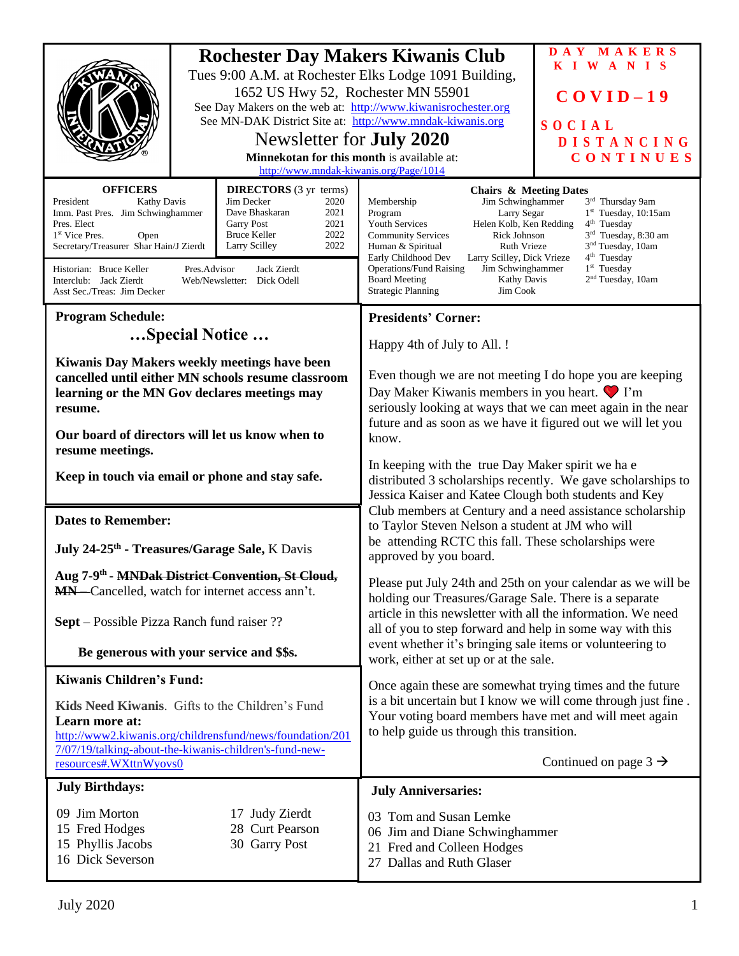|                                                                                                                                                                                                                                                                                                                                                                                                                                                                                                               |  | 1652 US Hwy 52, Rochester MN 55901<br>Newsletter for <b>July 2020</b><br>Minnekotan for this month is available at:<br>http://www.mndak-kiwanis.org/Page/1014                                                                                                                                                                                                                                                                          | <b>Rochester Day Makers Kiwanis Club</b><br>Tues 9:00 A.M. at Rochester Elks Lodge 1091 Building,<br>See Day Makers on the web at: http://www.kiwanisrochester.org<br>See MN-DAK District Site at: http://www.mndak-kiwanis.org                                                                                                                                                                                                                                          | DAY MAKERS<br><b>KIWANIS</b><br>$COVID-19$<br>SOCIAL<br><b>DISTANCING</b><br>CONTINUES |
|---------------------------------------------------------------------------------------------------------------------------------------------------------------------------------------------------------------------------------------------------------------------------------------------------------------------------------------------------------------------------------------------------------------------------------------------------------------------------------------------------------------|--|----------------------------------------------------------------------------------------------------------------------------------------------------------------------------------------------------------------------------------------------------------------------------------------------------------------------------------------------------------------------------------------------------------------------------------------|--------------------------------------------------------------------------------------------------------------------------------------------------------------------------------------------------------------------------------------------------------------------------------------------------------------------------------------------------------------------------------------------------------------------------------------------------------------------------|----------------------------------------------------------------------------------------|
| <b>OFFICERS</b><br><b>DIRECTORS</b> (3 yr terms)<br>Jim Decker<br>President<br><b>Kathy Davis</b><br>2020<br>Imm. Past Pres. Jim Schwinghammer<br>Dave Bhaskaran<br>2021<br>2021<br>Pres. Elect<br><b>Garry Post</b><br>2022<br><b>Bruce Keller</b><br>1 <sup>st</sup> Vice Pres.<br>Open<br>2022<br>Secretary/Treasurer Shar Hain/J Zierdt<br>Larry Scilley<br>Pres.Advisor<br>Jack Zierdt<br>Historian: Bruce Keller<br>Interclub: Jack Zierdt<br>Web/Newsletter: Dick Odell<br>Asst Sec./Treas: Jim Decker |  | <b>Chairs &amp; Meeting Dates</b><br>Membership<br>Jim Schwinghammer<br>Program<br>Larry Segar<br><b>Youth Services</b><br>Helen Kolb, Ken Redding<br>Rick Johnson<br><b>Community Services</b><br>Ruth Vrieze<br>Human & Spiritual<br>Early Childhood Dev<br>Larry Scilley, Dick Vrieze<br><b>Operations/Fund Raising</b><br>Jim Schwinghammer<br><b>Board Meeting</b><br><b>Kathy Davis</b><br><b>Strategic Planning</b><br>Jim Cook | 3rd Thursday 9am<br>$1st$ Tuesday, 10:15am<br>$4th$ Tuesday<br>3 <sup>rd</sup> Tuesday, 8:30 am<br>3 <sup>nd</sup> Tuesday, 10am<br>4 <sup>th</sup> Tuesday<br>1 <sup>st</sup> Tuesday<br>2 <sup>nd</sup> Tuesday, 10am                                                                                                                                                                                                                                                  |                                                                                        |
| <b>Program Schedule:</b>                                                                                                                                                                                                                                                                                                                                                                                                                                                                                      |  |                                                                                                                                                                                                                                                                                                                                                                                                                                        | <b>Presidents' Corner:</b>                                                                                                                                                                                                                                                                                                                                                                                                                                               |                                                                                        |
|                                                                                                                                                                                                                                                                                                                                                                                                                                                                                                               |  | Special Notice                                                                                                                                                                                                                                                                                                                                                                                                                         |                                                                                                                                                                                                                                                                                                                                                                                                                                                                          |                                                                                        |
| Kiwanis Day Makers weekly meetings have been<br>cancelled until either MN schools resume classroom<br>learning or the MN Gov declares meetings may<br>resume.<br>Our board of directors will let us know when to<br>resume meetings.                                                                                                                                                                                                                                                                          |  |                                                                                                                                                                                                                                                                                                                                                                                                                                        | Happy 4th of July to All. !<br>Even though we are not meeting I do hope you are keeping<br>Day Maker Kiwanis members in you heart. $\bigcirc$ I'm<br>seriously looking at ways that we can meet again in the near<br>future and as soon as we have it figured out we will let you<br>know.<br>In keeping with the true Day Maker spirit we ha e<br>distributed 3 scholarships recently. We gave scholarships to<br>Jessica Kaiser and Katee Clough both students and Key |                                                                                        |
| Keep in touch via email or phone and stay safe.                                                                                                                                                                                                                                                                                                                                                                                                                                                               |  |                                                                                                                                                                                                                                                                                                                                                                                                                                        |                                                                                                                                                                                                                                                                                                                                                                                                                                                                          |                                                                                        |
| <b>Dates to Remember:</b>                                                                                                                                                                                                                                                                                                                                                                                                                                                                                     |  |                                                                                                                                                                                                                                                                                                                                                                                                                                        | Club members at Century and a need assistance scholarship<br>to Taylor Steven Nelson a student at JM who will                                                                                                                                                                                                                                                                                                                                                            |                                                                                        |
| July 24-25 <sup>th</sup> - Treasures/Garage Sale, K Davis                                                                                                                                                                                                                                                                                                                                                                                                                                                     |  |                                                                                                                                                                                                                                                                                                                                                                                                                                        | be attending RCTC this fall. These scholarships were<br>approved by you board.                                                                                                                                                                                                                                                                                                                                                                                           |                                                                                        |
| Aug 7-9 <sup>th</sup> - <del>MNDak District Convention, St Cloud,</del><br>MN-Cancelled, watch for internet access ann't.                                                                                                                                                                                                                                                                                                                                                                                     |  |                                                                                                                                                                                                                                                                                                                                                                                                                                        | Please put July 24th and 25th on your calendar as we will be<br>holding our Treasures/Garage Sale. There is a separate                                                                                                                                                                                                                                                                                                                                                   |                                                                                        |
| Sept – Possible Pizza Ranch fund raiser ??                                                                                                                                                                                                                                                                                                                                                                                                                                                                    |  |                                                                                                                                                                                                                                                                                                                                                                                                                                        | article in this newsletter with all the information. We need                                                                                                                                                                                                                                                                                                                                                                                                             |                                                                                        |
| Be generous with your service and \$\$s.                                                                                                                                                                                                                                                                                                                                                                                                                                                                      |  |                                                                                                                                                                                                                                                                                                                                                                                                                                        | all of you to step forward and help in some way with this<br>event whether it's bringing sale items or volunteering to<br>work, either at set up or at the sale.                                                                                                                                                                                                                                                                                                         |                                                                                        |
| <b>Kiwanis Children's Fund:</b>                                                                                                                                                                                                                                                                                                                                                                                                                                                                               |  |                                                                                                                                                                                                                                                                                                                                                                                                                                        | Once again these are somewhat trying times and the future                                                                                                                                                                                                                                                                                                                                                                                                                |                                                                                        |
| Kids Need Kiwanis. Gifts to the Children's Fund<br>Learn more at:<br>http://www2.kiwanis.org/childrensfund/news/foundation/201<br>7/07/19/talking-about-the-kiwanis-children's-fund-new-                                                                                                                                                                                                                                                                                                                      |  |                                                                                                                                                                                                                                                                                                                                                                                                                                        | is a bit uncertain but I know we will come through just fine.<br>Your voting board members have met and will meet again<br>to help guide us through this transition.                                                                                                                                                                                                                                                                                                     | Continued on page $3 \rightarrow$                                                      |
| resources#.WXttnWyovs0                                                                                                                                                                                                                                                                                                                                                                                                                                                                                        |  |                                                                                                                                                                                                                                                                                                                                                                                                                                        |                                                                                                                                                                                                                                                                                                                                                                                                                                                                          |                                                                                        |
| <b>July Birthdays:</b>                                                                                                                                                                                                                                                                                                                                                                                                                                                                                        |  |                                                                                                                                                                                                                                                                                                                                                                                                                                        | <b>July Anniversaries:</b>                                                                                                                                                                                                                                                                                                                                                                                                                                               |                                                                                        |
| 09 Jim Morton<br>17 Judy Zierdt<br>15 Fred Hodges<br>28 Curt Pearson<br>15 Phyllis Jacobs<br>30 Garry Post<br>16 Dick Severson                                                                                                                                                                                                                                                                                                                                                                                |  |                                                                                                                                                                                                                                                                                                                                                                                                                                        | 03 Tom and Susan Lemke<br>06 Jim and Diane Schwinghammer<br>21 Fred and Colleen Hodges<br>27 Dallas and Ruth Glaser                                                                                                                                                                                                                                                                                                                                                      |                                                                                        |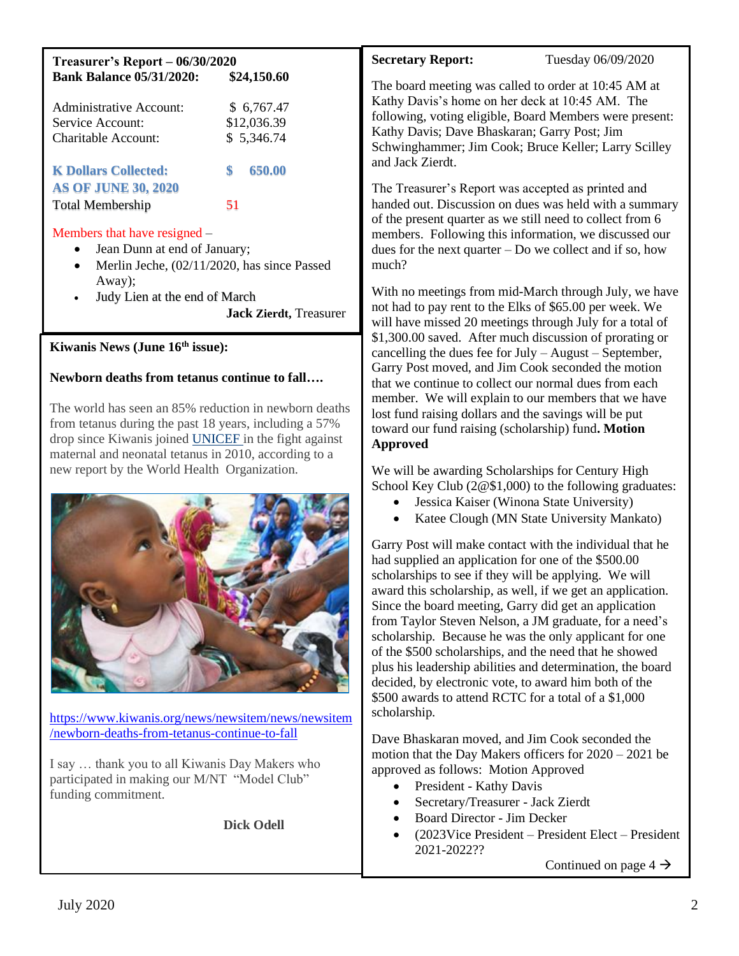| Treasurer's Report - 06/30/2020<br><b>Bank Balance 05/31/2020:</b>        | \$24,150.60                             |
|---------------------------------------------------------------------------|-----------------------------------------|
| <b>Administrative Account:</b><br>Service Account:<br>Charitable Account: | \$6,767.47<br>\$12,036.39<br>\$5,346.74 |
| <b>K Dollars Collected:</b>                                               | 650.00                                  |

**AS OF JUNE 30, 2020** Total Membership 51

## Members that have resigned –

- Jean Dunn at end of January;
- Merlin Jeche, (02/11/2020, has since Passed Away);
- Judy Lien at the end of March

**Jack Zierdt,** Treasurer

## **Kiwanis News (June 16th issue):**

## **Newborn deaths from tetanus continue to fall….**

The world has seen an 85% reduction in newborn deaths from tetanus during the past 18 years, including a 57% drop since Kiwanis joined [UNICEF i](https://www.unicefusa.org/)n the fight against maternal and neonatal tetanus in 2010, according to a new report by the World Health Organization.



[https://www.kiwanis.org/news/newsitem/news/newsitem](https://www.kiwanis.org/news/newsitem/news/newsitem/newborn-deaths-from-tetanus-continue-to-fall) [/newborn-deaths-from-tetanus-continue-to-fall](https://www.kiwanis.org/news/newsitem/news/newsitem/newborn-deaths-from-tetanus-continue-to-fall)

I say … thank you to all Kiwanis Day Makers who participated in making our M/NT "Model Club" funding commitment.

**Dick Odell**

**Secretary Report:** Tuesday 06/09/2020

The board meeting was called to order at 10:45 AM at Kathy Davis's home on her deck at 10:45 AM. The following, voting eligible, Board Members were present: Kathy Davis; Dave Bhaskaran; Garry Post; Jim Schwinghammer; Jim Cook; Bruce Keller; Larry Scilley and Jack Zierdt.

The Treasurer's Report was accepted as printed and handed out. Discussion on dues was held with a summary of the present quarter as we still need to collect from 6 members. Following this information, we discussed our dues for the next quarter  $-$  Do we collect and if so, how much?

With no meetings from mid-March through July, we have not had to pay rent to the Elks of \$65.00 per week. We will have missed 20 meetings through July for a total of \$1,300.00 saved. After much discussion of prorating or cancelling the dues fee for July – August – September, Garry Post moved, and Jim Cook seconded the motion that we continue to collect our normal dues from each member. We will explain to our members that we have lost fund raising dollars and the savings will be put toward our fund raising (scholarship) fund**. Motion Approved**

We will be awarding Scholarships for Century High School Key Club (2@\$1,000) to the following graduates:

- Jessica Kaiser (Winona State University)
- Katee Clough (MN State University Mankato)

Garry Post will make contact with the individual that he had supplied an application for one of the \$500.00 scholarships to see if they will be applying. We will award this scholarship, as well, if we get an application. Since the board meeting, Garry did get an application from Taylor Steven Nelson, a JM graduate, for a need's scholarship. Because he was the only applicant for one of the \$500 scholarships, and the need that he showed plus his leadership abilities and determination, the board decided, by electronic vote, to award him both of the \$500 awards to attend RCTC for a total of a \$1,000 scholarship.

Dave Bhaskaran moved, and Jim Cook seconded the motion that the Day Makers officers for 2020 – 2021 be approved as follows: Motion Approved

• President - Kathy Davis

**i**

- Secretary/Treasurer Jack Zierdt
- Board Director Jim Decker
- $(2023 \text{Vice President} \text{President Elect} \text{President})$ 2021-2022??

Continued on page  $4 \rightarrow$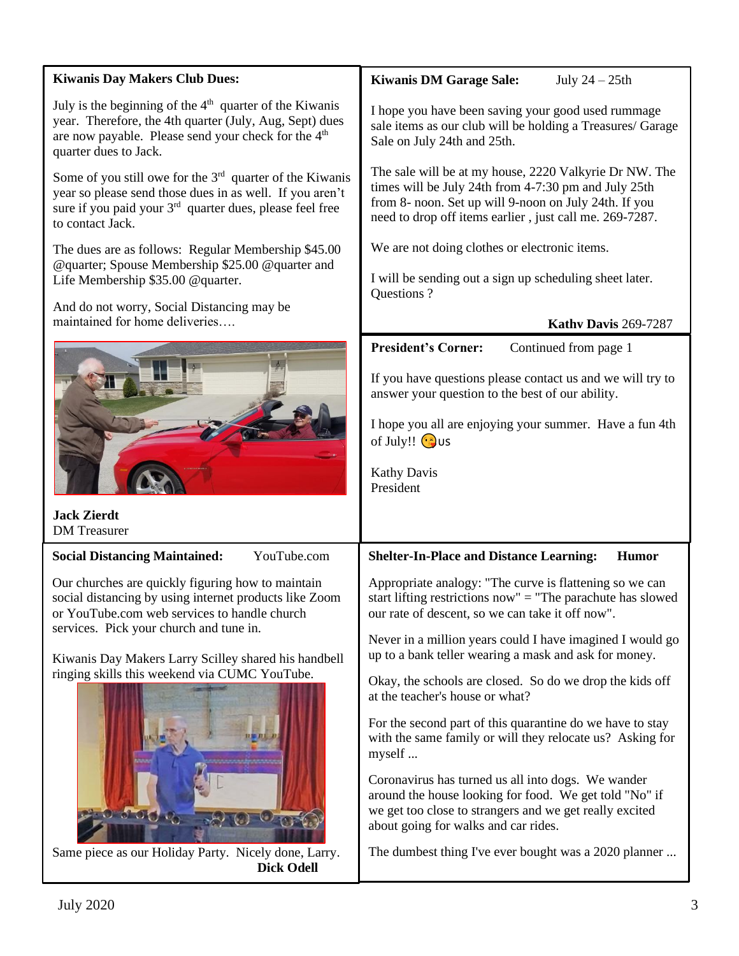| <b>Kiwanis Day Makers Club Dues:</b>                                                                                                                                                                                                                                                                                                                                                                     | <b>Kiwanis DM Garage Sale:</b><br>July $24 - 25$ th                                                                                                                                                                                                                                                                                                                                                                                                                                                                                                                                                                                                                                                                                                                                                               |  |
|----------------------------------------------------------------------------------------------------------------------------------------------------------------------------------------------------------------------------------------------------------------------------------------------------------------------------------------------------------------------------------------------------------|-------------------------------------------------------------------------------------------------------------------------------------------------------------------------------------------------------------------------------------------------------------------------------------------------------------------------------------------------------------------------------------------------------------------------------------------------------------------------------------------------------------------------------------------------------------------------------------------------------------------------------------------------------------------------------------------------------------------------------------------------------------------------------------------------------------------|--|
| July is the beginning of the $4th$ quarter of the Kiwanis<br>year. Therefore, the 4th quarter (July, Aug, Sept) dues<br>are now payable. Please send your check for the 4 <sup>th</sup><br>quarter dues to Jack.                                                                                                                                                                                         | I hope you have been saving your good used rummage<br>sale items as our club will be holding a Treasures/ Garage<br>Sale on July 24th and 25th.                                                                                                                                                                                                                                                                                                                                                                                                                                                                                                                                                                                                                                                                   |  |
| Some of you still owe for the $3rd$ quarter of the Kiwanis<br>year so please send those dues in as well. If you aren't<br>sure if you paid your 3 <sup>rd</sup> quarter dues, please feel free<br>to contact Jack.                                                                                                                                                                                       | The sale will be at my house, 2220 Valkyrie Dr NW. The<br>times will be July 24th from 4-7:30 pm and July 25th<br>from 8- noon. Set up will 9-noon on July 24th. If you<br>need to drop off items earlier, just call me. 269-7287.                                                                                                                                                                                                                                                                                                                                                                                                                                                                                                                                                                                |  |
| The dues are as follows: Regular Membership \$45.00<br>@quarter; Spouse Membership \$25.00 @quarter and<br>Life Membership \$35.00 @quarter.                                                                                                                                                                                                                                                             | We are not doing clothes or electronic items.<br>I will be sending out a sign up scheduling sheet later.<br>Questions?                                                                                                                                                                                                                                                                                                                                                                                                                                                                                                                                                                                                                                                                                            |  |
| And do not worry, Social Distancing may be<br>maintained for home deliveries                                                                                                                                                                                                                                                                                                                             | Kathy Davis 269-7287                                                                                                                                                                                                                                                                                                                                                                                                                                                                                                                                                                                                                                                                                                                                                                                              |  |
| <b>Jack Zierdt</b><br><b>DM</b> Treasurer                                                                                                                                                                                                                                                                                                                                                                | <b>President's Corner:</b><br>Continued from page 1<br>If you have questions please contact us and we will try to<br>answer your question to the best of our ability.<br>I hope you all are enjoying your summer. Have a fun 4th<br>of July!! $\bigcirc$ us<br><b>Kathy Davis</b><br>President                                                                                                                                                                                                                                                                                                                                                                                                                                                                                                                    |  |
| YouTube.com<br><b>Social Distancing Maintained:</b>                                                                                                                                                                                                                                                                                                                                                      | <b>Shelter-In-Place and Distance Learning:</b><br>Humor                                                                                                                                                                                                                                                                                                                                                                                                                                                                                                                                                                                                                                                                                                                                                           |  |
| Our churches are quickly figuring how to maintain<br>social distancing by using internet products like Zoom<br>or YouTube.com web services to handle church<br>services. Pick your church and tune in.<br>Kiwanis Day Makers Larry Scilley shared his handbell<br>ringing skills this weekend via CUMC YouTube.<br>日本川上<br><b>22.0 0 0 0 0 0</b><br>Same piece as our Holiday Party. Nicely done, Larry. | Appropriate analogy: "The curve is flattening so we can<br>start lifting restrictions now" $=$ "The parachute has slowed<br>our rate of descent, so we can take it off now".<br>Never in a million years could I have imagined I would go<br>up to a bank teller wearing a mask and ask for money.<br>Okay, the schools are closed. So do we drop the kids off<br>at the teacher's house or what?<br>For the second part of this quarantine do we have to stay<br>with the same family or will they relocate us? Asking for<br>myself<br>Coronavirus has turned us all into dogs. We wander<br>around the house looking for food. We get told "No" if<br>we get too close to strangers and we get really excited<br>about going for walks and car rides.<br>The dumbest thing I've ever bought was a 2020 planner |  |
| <b>Dick Odell</b>                                                                                                                                                                                                                                                                                                                                                                                        |                                                                                                                                                                                                                                                                                                                                                                                                                                                                                                                                                                                                                                                                                                                                                                                                                   |  |